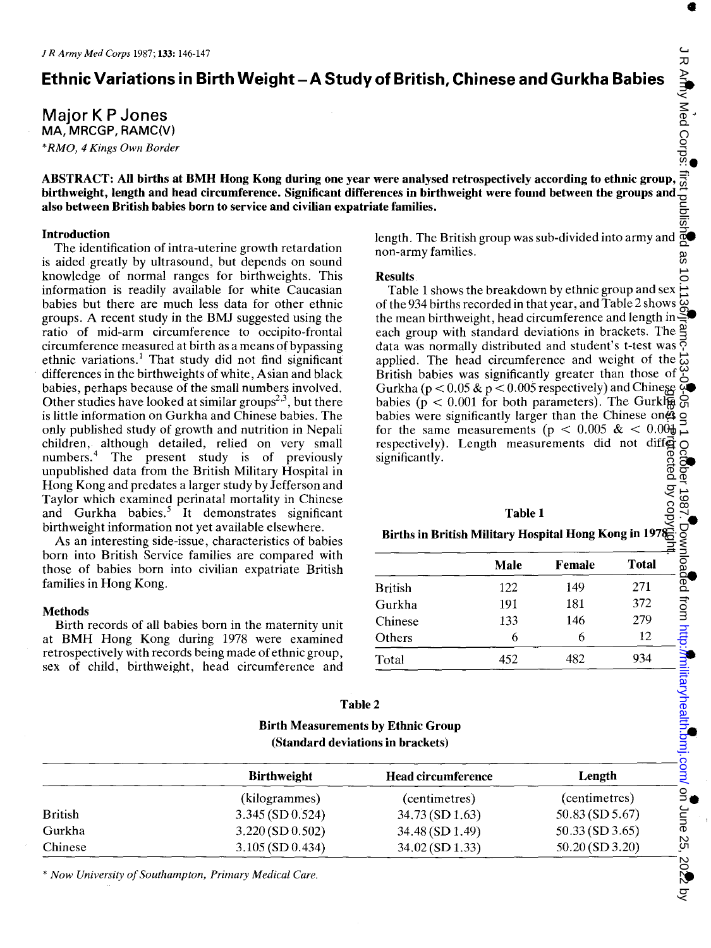Major K P Jones MA, MRCGP, RAMC(V) *\*RMO,* 4 *Kings Own Border* 

**Ethnic Variations in Birth Weight - A Study of British, Chinese and Gurkha Babies**<br>
Major K P Jones<br>
MA, MRCGP, RAMC(V)<br>
\*RMO, 4 Kings Own Border<br> **ABSTRACT:** All births at BMH Hong Kong during one year were analysed ret • ABSTRACT: All births at BMH Hong Kong during one year were analysed retrospectively according to ethnic group, birthweight, length and head circumference. Significant differences in birthweight were found between the groups and also between British babies born to service and civilian expatriate families.

### Introduction

The identification of intra-uterine growth retardation is aided greatly by ultrasound, but depends on sound knowledge of normal ranges for birthweights. This information is readily available for white Caucasian babies but there are much less data for other ethnic groups. A recent study in the BMJ suggested using the ratio of mid-arm circumference to occipito-frontal circumference measured at birth as a means of bypassing ethnic variations.<sup>1</sup> That study did not find significant differences in the birthweights of white, Asian and black babies, perhaps because of the small numbers involved. Other studies have looked at similar groups<sup> $2,3$ </sup>, but there is little information on Gurkha and Chinese babies. The only published study of growth and nutrition in Nepali children, although detailed, relied on very small numbers.<sup>4</sup> The present study is of previously unpublished data from the British Military Hospital in Hong Kong and predates a larger study by Jefferson and Taylor which examined perinatal mortality in Chinese and Gurkha babies.<sup>5</sup> It demonstrates significant birthweight information not yet available elsewhere.

As an interesting side-issue, characteristics of babies born into British Service families are compared with those of babies born into civilian expatriate British families in Hong Kong.

## **Methods**

Birth records of all babies born in the maternity unit at BMH Hong Kong during 1978 were examined retrospectively with records being made of ethnic group, sex of child, birthweight, head circumference and

length. The British group was sub-divided into army and • non-army families.

## Results

Table 1 shows the breakdown by ethnic group and sex of the 934 births recorded in that year, and Table 2 shows the mean birthweight, head circumference and length in • each group with standard deviations in brackets. The  $\frac{\alpha}{2}$ data was normally distributed and student's t-test was data was normally distributed and stated.<br>applied. The head circumference and weight of the  $\frac{1}{60}$ British babies was significantly greater than those of Gurkha ( $p < 0.05 \& p < 0.005$  respectively) and Chinese babies ( $p < 0.001$  for both parameters). The Gurkha babies were significantly larger than the Chinese ones g for the same measurements ( $p < 0.005 \& 0.004$ ) for the same measurements ( $p < 0.005$  &  $< 0.001$ ) respectively). Length measurements did not differ significantly.  $\mathcal{B}$   $\mathcal{S}$ grest. Brigtected by copyright.

# لاب بن جي<br>• Births in British Military Hospital Hong Kong in 1978

|                | Male | Female | <b>Total</b> |
|----------------|------|--------|--------------|
| <b>British</b> | 122  | 149    | 271          |
| Gurkha         | 191  | 181    | 372          |
| Chinese        | 133  | 146    | 279          |
| Others         | 6    | b      | 12           |
| Total          | 452  | 482    | 934          |

| Table 2                                   |
|-------------------------------------------|
| <b>Birth Measurements by Ethnic Group</b> |
| (Standard deviations in brackets)         |

|                | <b>Birthweight</b> | <b>Head circumference</b> | Length               |  |
|----------------|--------------------|---------------------------|----------------------|--|
|                | (kilogrammes)      | (centimetres)             | (centimetres)        |  |
| <b>British</b> | 3.345 (SD 0.524)   | $34.73$ (SD 1.63)         | $50.83$ (SD $5.67$ ) |  |
| Gurkha         | $3.220$ (SD 0.502) | 34.48(SD1.49)             | $50.33$ (SD 3.65)    |  |
| Chinese        | $3.105$ (SD 0.434) | 34.02 (SD 1.33)           | 50.20 (SD 3.20)      |  |

\* *Now University of Southampton, Primary Medical Care.* 

•